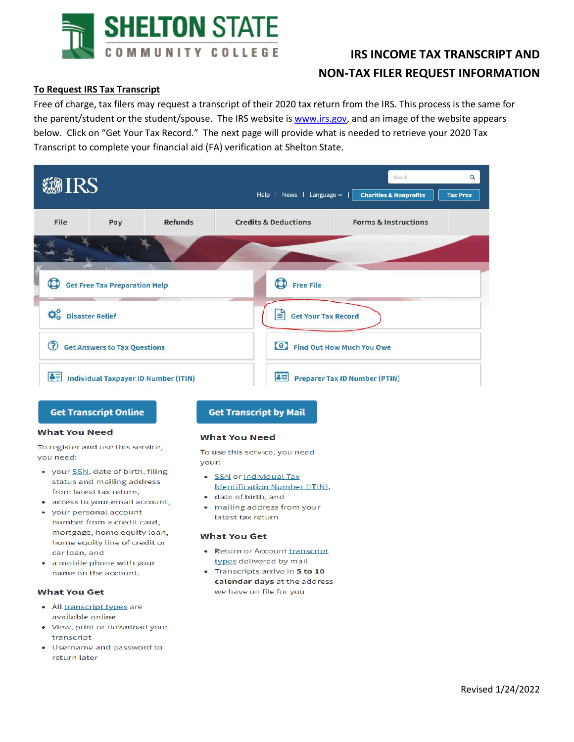

# **IRS INCOME TAX TRANSCRIPT AND NON-TAX FILER REQUEST INFORMATION**

# **To Request IRS Tax Transcript**

Free of charge, tax filers may request a transcript of their 2020 tax return from the IRS. This process is the same for the parent/student or the student/spouse. The IRS website is www.irs.gov, and an image of the website appears below. Click on "Get Your Tax Record." The next page will provide what is needed to retrieve your 2020 Tax Transcript to complete your financial aid (FA) verification at Shelton State.

| <b><i>MIRS</i></b> |                                                                  |                | $\alpha$<br>Search<br>Help   News   Language $\sim$  <br><b>Charities &amp; Nonprofits</b><br><b>Tax Pros</b> |                                      |                                 |  |  |
|--------------------|------------------------------------------------------------------|----------------|---------------------------------------------------------------------------------------------------------------|--------------------------------------|---------------------------------|--|--|
| <b>File</b>        | Pay                                                              | <b>Refunds</b> | <b>Credits &amp; Deductions</b>                                                                               |                                      | <b>Forms &amp; Instructions</b> |  |  |
|                    |                                                                  |                |                                                                                                               |                                      |                                 |  |  |
|                    | <b>Contract Contract</b><br><b>Get Free Tax Preparation Help</b> |                | <b>Free File</b>                                                                                              |                                      |                                 |  |  |
| Disaster Relief    |                                                                  |                | ا≡ا<br><b>Get Your Tax Record</b>                                                                             |                                      |                                 |  |  |
| $\mathbf{C}$       | <b>Get Answers to Tax Questions</b>                              |                | $\bullet$                                                                                                     | Find Out How Much You Owe            |                                 |  |  |
| BE                 | <b>Individual Taxpayer ID Number (ITIN)</b>                      |                | 8회                                                                                                            | <b>Preparer Tax ID Number (PTIN)</b> |                                 |  |  |

### **Get Transcript Online**

#### **What You Need**

To register and use this service, you need:

- your **SSN**, date of birth, filing status and mailing address from latest tax return,
- access to your email account,
- your personal account number from a credit card, mortgage, home equity loan, home equity line of credit or car loan, and
- a mobile phone with your name on the account.

## **What You Get**

- All transcript types are available online
- View, print or download your transcript
- Username and password to return later

# **Get Transcript by Mail**

#### **What You Need**

To use this service, you need vour:

- SSN or Individual Tax Identification Number (ITIN),
- · date of birth, and
- mailing address from your latest tax return

#### **What You Get**

- Return or Account transcript types delivered by mail
- Transcripts arrive in 5 to 10 calendar days at the address we have on file for you